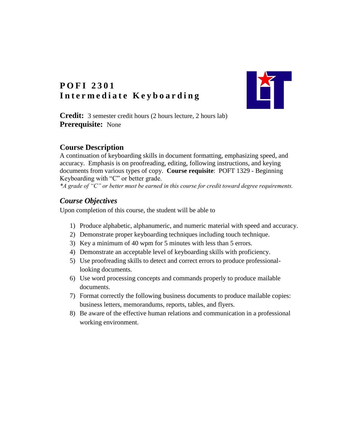

# **P O F I 2301** Intermediate Keyboarding

**Credit:** 3 semester credit hours (2 hours lecture, 2 hours lab) **Prerequisite:** None

## **Course Description**

A continuation of keyboarding skills in document formatting, emphasizing speed, and accuracy. Emphasis is on proofreading, editing, following instructions, and keying documents from various types of copy. **Course requisite**: POFT 1329 - Beginning Keyboarding with "C" or better grade.

*\*A grade of "C" or better must be earned in this course for credit toward degree requirements.*

## *Course Objectives*

Upon completion of this course, the student will be able to

- 1) Produce alphabetic, alphanumeric, and numeric material with speed and accuracy.
- 2) Demonstrate proper keyboarding techniques including touch technique.
- 3) Key a minimum of 40 wpm for 5 minutes with less than 5 errors.
- 4) Demonstrate an acceptable level of keyboarding skills with proficiency.
- 5) Use proofreading skills to detect and correct errors to produce professionallooking documents.
- 6) Use word processing concepts and commands properly to produce mailable documents.
- 7) Format correctly the following business documents to produce mailable copies: business letters, memorandums, reports, tables, and flyers.
- 8) Be aware of the effective human relations and communication in a professional working environment.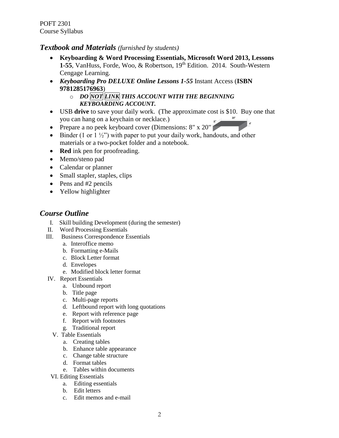POFT 2301 Course Syllabus

#### *Textbook and Materials (furnished by students)*

- **Keyboarding & Word Processing Essentials, Microsoft Word 2013, Lessons**  1-55, VanHuss, Forde, Woo, & Robertson, 19<sup>th</sup> Edition. 2014. South-Western Cengage Learning.
- *Keyboarding Pro DELUXE Online Lessons 1-55* Instant Access (**ISBN 9781285176963**)
	- o *DO NOT LINK THIS ACCOUNT WITH THE BEGINNING KEYBOARDING ACCOUNT.*
- USB **drive** to save your daily work. (The approximate cost is \$10. Buy one that you can hang on a keychain or necklace.)  $20"$
- Prepare a no peek keyboard cover (Dimensions:  $8" \times 20"$
- $\bullet$  Binder (1 or 1  $\frac{1}{2}$ ") with paper to put your daily work, handouts, and other materials or a two-pocket folder and a notebook.
- **Red** ink pen for proofreading.
- Memo/steno pad
- Calendar or planner
- Small stapler, staples, clips
- $\bullet$  Pens and #2 pencils
- Yellow highlighter

## *Course Outline*

- I. Skill building Development (during the semester)
- II. Word Processing Essentials
- III. Business Correspondence Essentials
	- a. Interoffice memo
	- b. Formatting e-Mails
	- c. Block Letter format
	- d. Envelopes
	- e. Modified block letter format
- IV. Report Essentials
	- a. Unbound report
	- b. Title page
	- c. Multi-page reports
	- d. Leftbound report with long quotations
	- e. Report with reference page
	- f. Report with footnotes
	- g. Traditional report
	- V. Table Essentials
		- a. Creating tables
		- b. Enhance table appearance
		- c. Change table structure
		- d. Format tables
		- e. Tables within documents
- VI. Editing Essentials
	- a. Editing essentials
	- b. Edit letters
	- c. Edit memos and e-mail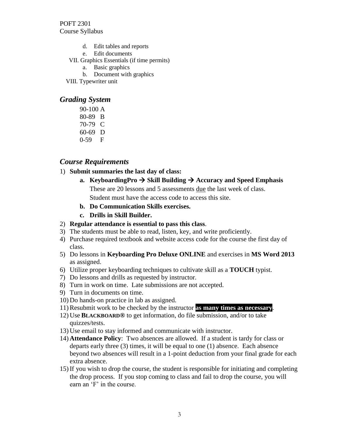- d. Edit tables and reports
- e. Edit documents
- VII. Graphics Essentials (if time permits)
	- a. Basic graphics
	- b. Document with graphics
- VIII. Typewriter unit

## *Grading System*

90-100 A 80-89 B 70-79 C 60-69 D 0-59 F

## *Course Requirements*

1) **Submit summaries the last day of class:**

## **a.** KeyboardingPro  $\rightarrow$  Skill Building  $\rightarrow$  Accuracy and Speed Emphasis

These are 20 lessons and 5 assessments due the last week of class.

Student must have the access code to access this site.

- **b. Do Communication Skills exercises.**
- **c. Drills in Skill Builder.**
- 2) **Regular attendance is essential to pass this class**.
- 3) The students must be able to read, listen, key, and write proficiently.
- 4) Purchase required textbook and website access code for the course the first day of class.
- 5) Do lessons in **Keyboarding Pro Deluxe ONLINE** and exercises in **MS Word 2013** as assigned.
- 6) Utilize proper keyboarding techniques to cultivate skill as a **TOUCH** typist.
- 7) Do lessons and drills as requested by instructor.
- 8) Turn in work on time. Late submissions are not accepted.
- 9) Turn in documents on time.
- 10) Do hands-on practice in lab as assigned.
- 11) Resubmit work to be checked by the instructor **as many times as necessary**.
- 12) Use **BLACKBOARD®** to get information, do file submission, and/or to take quizzes/tests.
- 13) Use email to stay informed and communicate with instructor.
- 14) **Attendance Policy**: Two absences are allowed. If a student is tardy for class or departs early three (3) times, it will be equal to one (1) absence. Each absence beyond two absences will result in a 1-point deduction from your final grade for each extra absence.
- 15) If you wish to drop the course, the student is responsible for initiating and completing the drop process. If you stop coming to class and fail to drop the course, you will earn an 'F' in the course.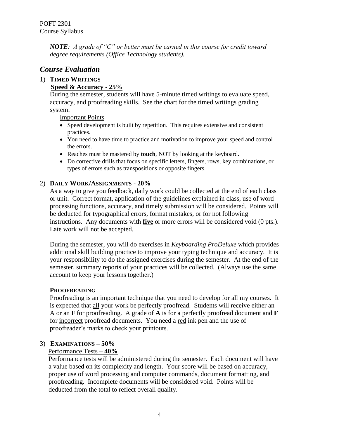*NOTE: A grade of "C" or better must be earned in this course for credit toward degree requirements (Office Technology students).*

## *Course Evaluation*

## 1) **TIMED WRITINGS**

### **Speed & Accuracy - 25%**

During the semester, students will have 5-minute timed writings to evaluate speed, accuracy, and proofreading skills. See the chart for the timed writings grading system.

Important Points

- Speed development is built by repetition. This requires extensive and consistent practices.
- You need to have time to practice and motivation to improve your speed and control the errors.
- Reaches must be mastered by **touch**, NOT by looking at the keyboard.
- Do corrective drills that focus on specific letters, fingers, rows, key combinations, or types of errors such as transpositions or opposite fingers.

#### 2) **DAILY WORK/ASSIGNMENTS** - **20%**

As a way to give you feedback, daily work could be collected at the end of each class or unit. Correct format, application of the guidelines explained in class, use of word processing functions, accuracy, and timely submission will be considered. Points will be deducted for typographical errors, format mistakes, or for not following instructions. Any documents with **five** or more errors will be considered void (0 pts.). Late work will not be accepted.

During the semester, you will do exercises in *Keyboarding ProDeluxe* which provides additional skill building practice to improve your typing technique and accuracy. It is your responsibility to do the assigned exercises during the semester. At the end of the semester, summary reports of your practices will be collected. (Always use the same account to keep your lessons together.)

#### **PROOFREADING**

Proofreading is an important technique that you need to develop for all my courses. It is expected that all your work be perfectly proofread. Students will receive either an A or an F for proofreading. A grade of **A** is for a perfectly proofread document and **F** for incorrect proofread documents. You need a red ink pen and the use of proofreader's marks to check your printouts.

#### 3) **EXAMINATIONS – 50%**

#### Performance Tests – **40%**

Performance tests will be administered during the semester. Each document will have a value based on its complexity and length. Your score will be based on accuracy, proper use of word processing and computer commands, document formatting, and proofreading. Incomplete documents will be considered void. Points will be deducted from the total to reflect overall quality.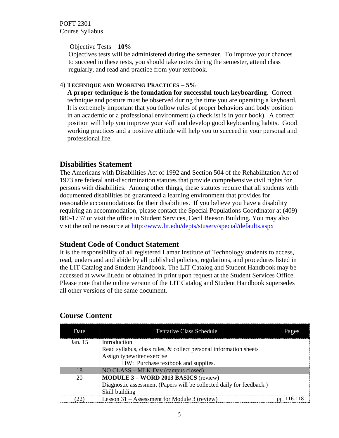POFT 2301 Course Syllabus

#### Objective Tests – **10%**

Objectives tests will be administered during the semester. To improve your chances to succeed in these tests, you should take notes during the semester, attend class regularly, and read and practice from your textbook.

#### 4) **TECHNIQUE AND WORKING PRACTICES** – **5%**

**A proper technique is the foundation for successful touch keyboarding**.Correct technique and posture must be observed during the time you are operating a keyboard. It is extremely important that you follow rules of proper behaviors and body position in an academic or a professional environment (a checklist is in your book). A correct position will help you improve your skill and develop good keyboarding habits. Good working practices and a positive attitude will help you to succeed in your personal and professional life.

## **Disabilities Statement**

The Americans with Disabilities Act of 1992 and Section 504 of the Rehabilitation Act of 1973 are federal anti-discrimination statutes that provide comprehensive civil rights for persons with disabilities. Among other things, these statutes require that all students with documented disabilities be guaranteed a learning environment that provides for reasonable accommodations for their disabilities. If you believe you have a disability requiring an accommodation, please contact the Special Populations Coordinator at (409) 880-1737 or visit the office in Student Services, Cecil Beeson Building. You may also visit the online resource at<http://www.lit.edu/depts/stuserv/special/defaults.aspx>

## **Student Code of Conduct Statement**

It is the responsibility of all registered Lamar Institute of Technology students to access, read, understand and abide by all published policies, regulations, and procedures listed in the LIT Catalog and Student Handbook. The LIT Catalog and Student Handbook may be accessed at www.lit.edu or obtained in print upon request at the Student Services Office. Please note that the online version of the LIT Catalog and Student Handbook supersedes all other versions of the same document.

| Date    | <b>Tentative Class Schedule</b>                                      | Pages       |
|---------|----------------------------------------------------------------------|-------------|
| Jan. 15 | Introduction                                                         |             |
|         | Read syllabus, class rules, & collect personal information sheets    |             |
|         | Assign typewriter exercise                                           |             |
|         | HW: Purchase textbook and supplies.                                  |             |
| 18      | NO CLASS – MLK Day (campus closed)                                   |             |
| 20      | <b>MODULE 3 - WORD 2013 BASICS (review)</b>                          |             |
|         | Diagnostic assessment (Papers will be collected daily for feedback.) |             |
|         | Skill building                                                       |             |
| - 22    | Lesson 31 – Assessment for Module 3 (review)                         | pp. 116-118 |

## **Course Content**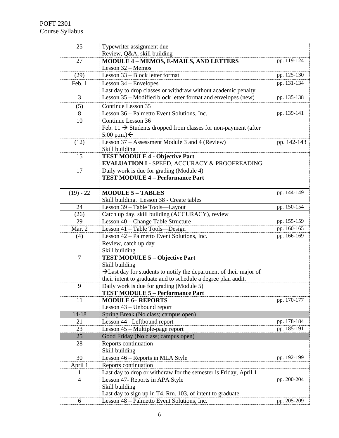| 25             | Typewriter assignment due                                                                                                                       |             |
|----------------|-------------------------------------------------------------------------------------------------------------------------------------------------|-------------|
|                | Review, Q&A, skill building                                                                                                                     |             |
| 27             | <b>MODULE 4 - MEMOS, E-MAILS, AND LETTERS</b>                                                                                                   | pp. 119-124 |
|                | Lesson 32 - Memos                                                                                                                               |             |
| (29)           | Lesson 33 - Block letter format                                                                                                                 | pp. 125-130 |
| Feb. 1         | Lesson $34$ – Envelopes                                                                                                                         | pp. 131-134 |
| 3              | Last day to drop classes or withdraw without academic penalty.<br>Lesson 35 – Modified block letter format and envelopes (new)                  | pp. 135-138 |
|                |                                                                                                                                                 |             |
| (5)            | Continue Lesson 35                                                                                                                              |             |
| 8              | Lesson 36 – Palmetto Event Solutions, Inc.                                                                                                      | pp. 139-141 |
| 10             | Continue Lesson 36                                                                                                                              |             |
|                | Feb. 11 $\rightarrow$ Students dropped from classes for non-payment (after<br>5:00 p.m.) ←                                                      |             |
| (12)           | Lesson 37 – Assessment Module 3 and 4 (Review)                                                                                                  | pp. 142-143 |
|                | Skill building                                                                                                                                  |             |
| 15             | <b>TEST MODULE 4 - Objective Part</b>                                                                                                           |             |
|                | <b>EVALUATION I - SPEED, ACCURACY &amp; PROOFREADING</b>                                                                                        |             |
| 17             | Daily work is due for grading (Module 4)                                                                                                        |             |
|                | <b>TEST MODULE 4 - Performance Part</b>                                                                                                         |             |
|                |                                                                                                                                                 |             |
| $(19) - 22$    | <b>MODULE 5 - TABLES</b>                                                                                                                        | pp. 144-149 |
|                | Skill building. Lesson 38 - Create tables                                                                                                       |             |
| 24             | Lesson 39 - Table Tools-Layout                                                                                                                  | pp. 150-154 |
| (26)           | Catch up day, skill building (ACCURACY), review                                                                                                 |             |
| 29             | Lesson 40 - Change Table Structure                                                                                                              | pp. 155-159 |
| Mar. 2         | Lesson 41 - Table Tools-Design                                                                                                                  | pp. 160-165 |
| (4)            | Lesson 42 – Palmetto Event Solutions, Inc.                                                                                                      | pp. 166-169 |
|                | Review, catch up day                                                                                                                            |             |
|                | Skill building                                                                                                                                  |             |
| $\tau$         | <b>TEST MODULE 5 - Objective Part</b>                                                                                                           |             |
|                | Skill building                                                                                                                                  |             |
|                | $\rightarrow$ Last day for students to notify the department of their major of<br>their intent to graduate and to schedule a degree plan audit. |             |
| 9              | Daily work is due for grading (Module 5)                                                                                                        |             |
|                | <b>TEST MODULE 5 - Performance Part</b>                                                                                                         |             |
| 11             | <b>MODULE 6- REPORTS</b>                                                                                                                        | pp. 170-177 |
|                | Lesson 43 - Unbound report                                                                                                                      |             |
| $14 - 18$      | Spring Break (No class; campus open)                                                                                                            |             |
| 21             | Lesson 44 - Leftbound report                                                                                                                    | pp. 178-184 |
| 23             | Lesson 45 - Multiple-page report                                                                                                                | pp. 185-191 |
| 25             | Good Friday (No class; campus open)                                                                                                             |             |
| 28             | Reports continuation                                                                                                                            |             |
|                | Skill building                                                                                                                                  |             |
| 30             | Lesson 46 - Reports in MLA Style                                                                                                                | pp. 192-199 |
| April 1        | Reports continuation                                                                                                                            |             |
| 1              | Last day to drop or withdraw for the semester is Friday, April 1                                                                                |             |
| $\overline{4}$ | Lesson 47- Reports in APA Style                                                                                                                 | pp. 200-204 |
|                | Skill building                                                                                                                                  |             |
|                | Last day to sign up in T4, Rm. 103, of intent to graduate.                                                                                      |             |
| 6              | Lesson 48 - Palmetto Event Solutions, Inc.                                                                                                      | pp. 205-209 |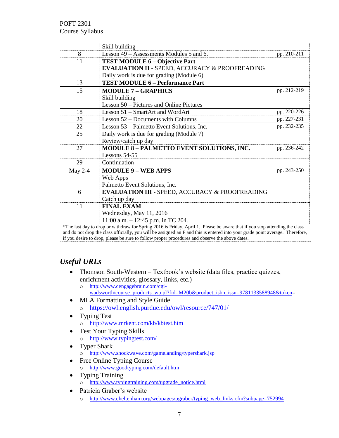|                | Skill building                                                                                                                |             |
|----------------|-------------------------------------------------------------------------------------------------------------------------------|-------------|
| 8              | Lesson 49 – Assessments Modules 5 and 6.                                                                                      | pp. 210-211 |
| 11             | <b>TEST MODULE 6 - Objective Part</b>                                                                                         |             |
|                | <b>EVALUATION II - SPEED, ACCURACY &amp; PROOFREADING</b>                                                                     |             |
|                | Daily work is due for grading (Module 6)                                                                                      |             |
| 13             | <b>TEST MODULE 6 - Performance Part</b>                                                                                       |             |
| 15             | <b>MODULE 7 - GRAPHICS</b>                                                                                                    | pp. 212-219 |
|                | Skill building                                                                                                                |             |
|                | Lesson 50 – Pictures and Online Pictures                                                                                      |             |
| 18             | Lesson 51 – SmartArt and WordArt                                                                                              | pp. 220-226 |
| 20             | Lesson 52 – Documents with Columns                                                                                            | pp. 227-231 |
| 22             | Lesson 53 – Palmetto Event Solutions, Inc.                                                                                    | pp. 232-235 |
| 25             | Daily work is due for grading (Module 7)                                                                                      |             |
|                | Review/catch up day                                                                                                           |             |
| 27             | MODULE 8 - PALMETTO EVENT SOLUTIONS, INC.                                                                                     | pp. 236-242 |
|                | Lessons $54-55$                                                                                                               |             |
| 29             | Continuation                                                                                                                  |             |
| <b>May 2-4</b> | <b>MODULE 9 - WEB APPS</b>                                                                                                    | pp. 243-250 |
|                | Web Apps                                                                                                                      |             |
|                | Palmetto Event Solutions, Inc.                                                                                                |             |
| 6              | <b>EVALUATION III - SPEED, ACCURACY &amp; PROOFREADING</b>                                                                    |             |
|                | Catch up day                                                                                                                  |             |
| 11             | <b>FINAL EXAM</b>                                                                                                             |             |
|                | Wednesday, May 11, 2016                                                                                                       |             |
|                | 11:00 a.m. $-$ 12:45 p.m. in TC 204.                                                                                          |             |
|                | *The last day to drop or withdraw for Spring 2016 is Friday, April 1. Please be aware that if you stop attending the class    |             |
|                | and do not drop the class officially, you will be assigned an F and this is entered into your grade point average. Therefore, |             |

if you desire to drop, please be sure to follow proper procedures and observe the above dates.

## *Useful URLs*

- Thomson South-Western Textbook's website (data files, practice quizzes, enrichment activities, glossary, links, etc.)
	- o [http://www.cengagebrain.com/cgi](http://www.cengagebrain.com/cgi-wadsworth/course_products_wp.pl?fid=M20b&product_isbn_issn=9781133588948&token)[wadsworth/course\\_products\\_wp.pl?fid=M20b&product\\_isbn\\_issn=9781133588948&token](http://www.cengagebrain.com/cgi-wadsworth/course_products_wp.pl?fid=M20b&product_isbn_issn=9781133588948&token)**=**
- MLA Formatting and Style Guide o <https://owl.english.purdue.edu/owl/resource/747/01/>
- Typing Test o <http://www.mrkent.com/kb/kbtest.htm>
- Test Your Typing Skills o <http://www.typingtest.com/>
- Typer Shark o <http://www.shockwave.com/gamelanding/typershark.jsp>
- Free Online Typing Course o <http://www.goodtyping.com/default.htm>
- Typing Training o [http://www.typingtraining.com/upgrade\\_notice.html](http://www.typingtraining.com/upgrade_notice.html)
- Patricia Graber's website
	- o [http://www.cheltenham.org/webpages/pgraber/typing\\_web\\_links.cfm?subpage=752994](http://www.cheltenham.org/webpages/pgraber/typing_web_links.cfm?subpage=752994)